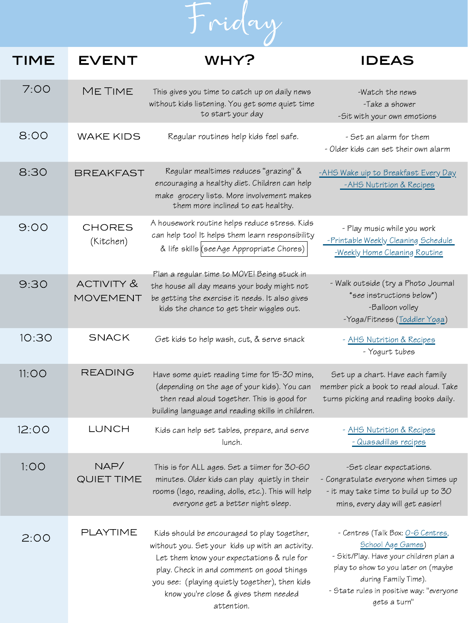

| TIME  | <b>EVENT</b>               | WHY?                                                                                                                                                                                                                                                                                               | <b>IDEAS</b>                                                                                                                                                                                                                               |
|-------|----------------------------|----------------------------------------------------------------------------------------------------------------------------------------------------------------------------------------------------------------------------------------------------------------------------------------------------|--------------------------------------------------------------------------------------------------------------------------------------------------------------------------------------------------------------------------------------------|
| 7:00  | ME TIME                    | This gives you time to catch up on daily news<br>without kids listening. You get some quiet time<br>to start your day                                                                                                                                                                              | -Watch the news<br>-Take a shower<br>-Sit with your own emotions                                                                                                                                                                           |
| 8:00  | <b>WAKE KIDS</b>           | Regular routines help kids feel safe.                                                                                                                                                                                                                                                              | - Set an alarm for them<br>- Older kids can set their own alarm                                                                                                                                                                            |
| 8:30  | <b>BREAKFAST</b>           | Regular mealtimes reduces "grazing" &<br>encouraging a healthy diet. Children can help<br>make grocery lists. More involvement makes<br>them more inclined to eat healthy.                                                                                                                         | -AHS Wake uip to Breakfast Every Day<br>-AHS Nutrition & Recipes                                                                                                                                                                           |
| 9:00  | <b>CHORES</b><br>(Kitchen) | A housework routine helps reduce stress. Kids<br>can help too! It helps them learn responsibility<br>& life skills (see Age Appropriate Chores)                                                                                                                                                    | - Play music while you work<br>-Printable Weekly Cleaning Schedule<br>-Weekly Home Cleaning Routine                                                                                                                                        |
| 9:30  | ACTIVITY &<br>MOVEMENT     | Plan a regular time to MOVE! Being stuck in<br>the house all day means your body might not<br>be getting the exercise it needs. It also gives<br>kids the chance to get their wiggles out.                                                                                                         | - Walk outside (try a Photo Journal<br>*see instructions below*)<br>-Balloon volley<br>-Yoga/Fitness (Toddler Yoga)                                                                                                                        |
| 10:30 | <b>SNACK</b>               | Get kids to help wash, cut, & serve snack                                                                                                                                                                                                                                                          | - AHS Nutrition & Recipes<br>- Yogurt tubes                                                                                                                                                                                                |
| 11:OO | READING                    | Have some quiet reading time for 15-30 mins,<br>(depending on the age of your kids). You can<br>then read aloud together. This is good for<br>building language and reading skills in children.                                                                                                    | Set up a chart. Have each family<br>member pick a book to read aloud. Take<br>turns picking and reading books daily.                                                                                                                       |
| 12:00 | LUNCH                      | Kids can help set tables, prepare, and serve<br>lunch.                                                                                                                                                                                                                                             | - AHS Nutrition & Recipes<br>- Quasadillas recipes                                                                                                                                                                                         |
| 1:OO  | NAP/<br>QUIET TIME         | This is for ALL ages. Set a tiimer for 30-60<br>minutes. Older kids can play quietly in their<br>rooms (lego, reading, dolls, etc.). This will help<br>everyone get a better night sleep.                                                                                                          | -Set clear expectations.<br>- Congratulate everyone when times up<br>- it may take time to build up to 30<br>mins, every day will get easier!                                                                                              |
| 2:00  | PLAYTIME                   | Kids should be encouraged to play together,<br>without you. Set your kids up with an activity.<br>Let them know your expectations & rule for<br>play. Check in and comment on good things<br>you see: (playing quietly together), then kids<br>know you're close & gives them needed<br>attention. | - Centres (Talk Box: <u>O-6 Centres</u> ,<br><b>School Age Games)</b><br>- Skit/Play. Have your children plan a<br>play to show to you later on (maybe<br>during Family Time).<br>- State rules in positive way: "everyone<br>gets a turn" |